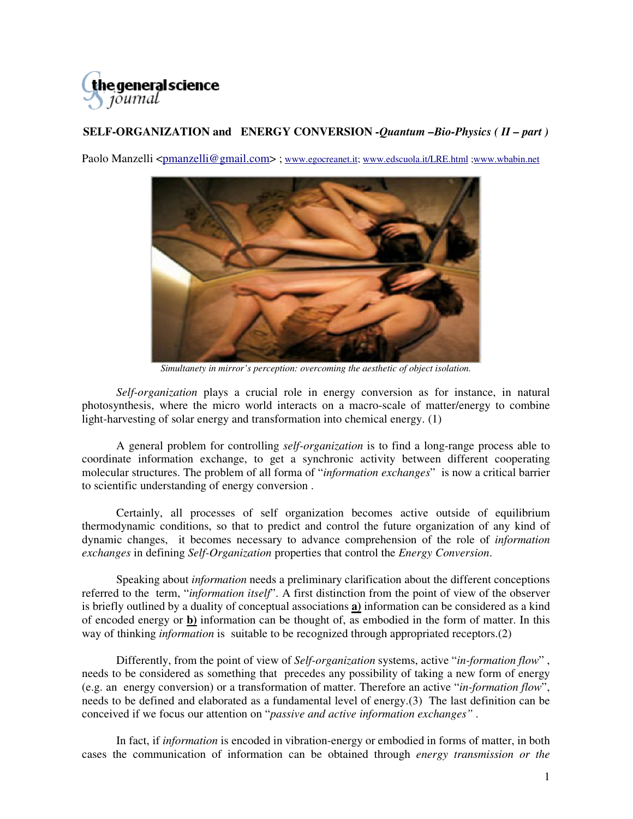

## **SELF-ORGANIZATION and ENERGY CONVERSION** *-Quantum –Bio-Physics ( II – part )*

Paolo Manzelli <pmanzelli@gmail.com> ; www.egocreanet.it; www.edscuola.it/LRE.html ;www.wbabin.net



*Simultanety in mirror's perception: overcoming the aesthetic of object isolation.* 

 *Self-organization* plays a crucial role in energy conversion as for instance, in natural photosynthesis, where the micro world interacts on a macro-scale of matter/energy to combine light-harvesting of solar energy and transformation into chemical energy. (1)

 A general problem for controlling *self-organization* is to find a long-range process able to coordinate information exchange, to get a synchronic activity between different cooperating molecular structures. The problem of all forma of "*information exchanges*" is now a critical barrier to scientific understanding of energy conversion .

 Certainly, all processes of self organization becomes active outside of equilibrium thermodynamic conditions, so that to predict and control the future organization of any kind of dynamic changes, it becomes necessary to advance comprehension of the role of *information exchanges* in defining *Self-Organization* properties that control the *Energy Conversion*.

 Speaking about *information* needs a preliminary clarification about the different conceptions referred to the term, "*information itself*". A first distinction from the point of view of the observer is briefly outlined by a duality of conceptual associations **a)** information can be considered as a kind of encoded energy or **b)** information can be thought of, as embodied in the form of matter. In this way of thinking *information* is suitable to be recognized through appropriated receptors.(2)

 Differently, from the point of view of *Self-organization* systems, active "*in-formation flow*" , needs to be considered as something that precedes any possibility of taking a new form of energy (e.g. an energy conversion) or a transformation of matter. Therefore an active "*in-formation flow*", needs to be defined and elaborated as a fundamental level of energy.(3) The last definition can be conceived if we focus our attention on "*passive and active information exchanges" .* 

In fact, if *information* is encoded in vibration-energy or embodied in forms of matter, in both cases the communication of information can be obtained through *energy transmission or the*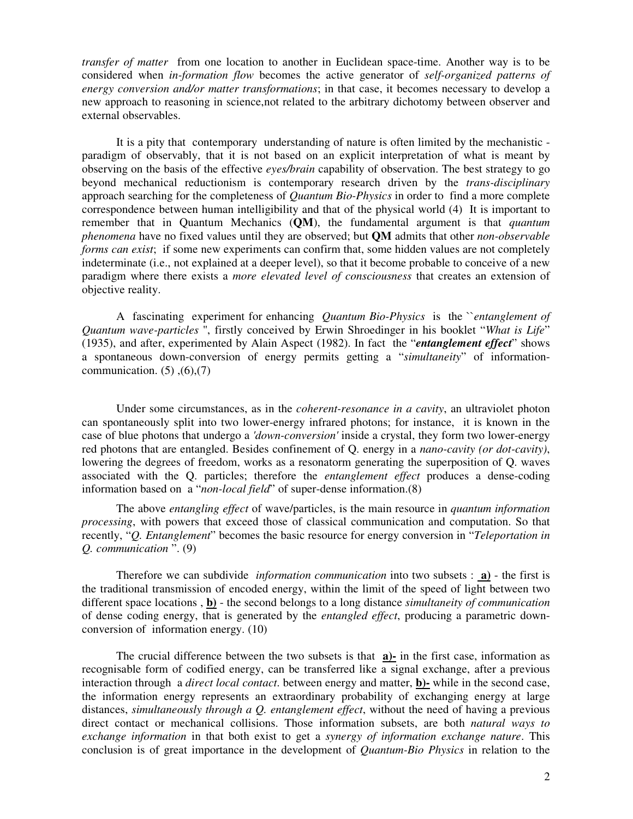*transfer of matter* from one location to another in Euclidean space-time. Another way is to be considered when *in-formation flow* becomes the active generator of *self-organized patterns of energy conversion and/or matter transformations*; in that case, it becomes necessary to develop a new approach to reasoning in science,not related to the arbitrary dichotomy between observer and external observables.

 It is a pity that contemporary understanding of nature is often limited by the mechanistic paradigm of observably, that it is not based on an explicit interpretation of what is meant by observing on the basis of the effective *eyes/brain* capability of observation. The best strategy to go beyond mechanical reductionism is contemporary research driven by the *trans-disciplinary* approach searching for the completeness of *Quantum Bio-Physics* in order to find a more complete correspondence between human intelligibility and that of the physical world (4) It is important to remember that in Quantum Mechanics (**QM**), the fundamental argument is that *quantum phenomena* have no fixed values until they are observed; but **QM** admits that other *non-observable forms can exist*; if some new experiments can confirm that, some hidden values are not completely indeterminate (i.e., not explained at a deeper level), so that it become probable to conceive of a new paradigm where there exists a *more elevated level of consciousness* that creates an extension of objective reality.

 A fascinating experiment for enhancing *Quantum Bio-Physics* is the ``*entanglement of Quantum wave-particles* '', firstly conceived by Erwin Shroedinger in his booklet "*What is Life*" (1935), and after, experimented by Alain Aspect (1982). In fact the "*entanglement effect*" shows a spontaneous down-conversion of energy permits getting a "*simultaneity*" of informationcommunication.  $(5)$ ,  $(6)$ ,  $(7)$ 

 Under some circumstances, as in the *coherent-resonance in a cavity*, an ultraviolet photon can spontaneously split into two lower-energy infrared photons; for instance, it is known in the case of blue photons that undergo a *'down-conversion'* inside a crystal, they form two lower-energy red photons that are entangled. Besides confinement of Q. energy in a *nano-cavity (or dot-cavity)*, lowering the degrees of freedom, works as a resonatorm generating the superposition of Q. waves associated with the Q. particles; therefore the *entanglement effect* produces a dense-coding information based on a "*non-local field*" of super-dense information.(8)

 The above *entangling effect* of wave/particles, is the main resource in *quantum information processing*, with powers that exceed those of classical communication and computation. So that recently, "*Q. Entanglement*" becomes the basic resource for energy conversion in "*Teleportation in Q. communication* ". (9)

 Therefore we can subdivide *information communication* into two subsets : **a)** - the first is the traditional transmission of encoded energy, within the limit of the speed of light between two different space locations , **b)** - the second belongs to a long distance *simultaneity of communication* of dense coding energy, that is generated by the *entangled effect*, producing a parametric downconversion of information energy. (10)

 The crucial difference between the two subsets is that **a)-** in the first case, information as recognisable form of codified energy, can be transferred like a signal exchange, after a previous interaction through a *direct local contact*. between energy and matter, **b)-** while in the second case, the information energy represents an extraordinary probability of exchanging energy at large distances, *simultaneously through a Q. entanglement effect*, without the need of having a previous direct contact or mechanical collisions. Those information subsets, are both *natural ways to exchange information* in that both exist to get a *synergy of information exchange nature*. This conclusion is of great importance in the development of *Quantum-Bio Physics* in relation to the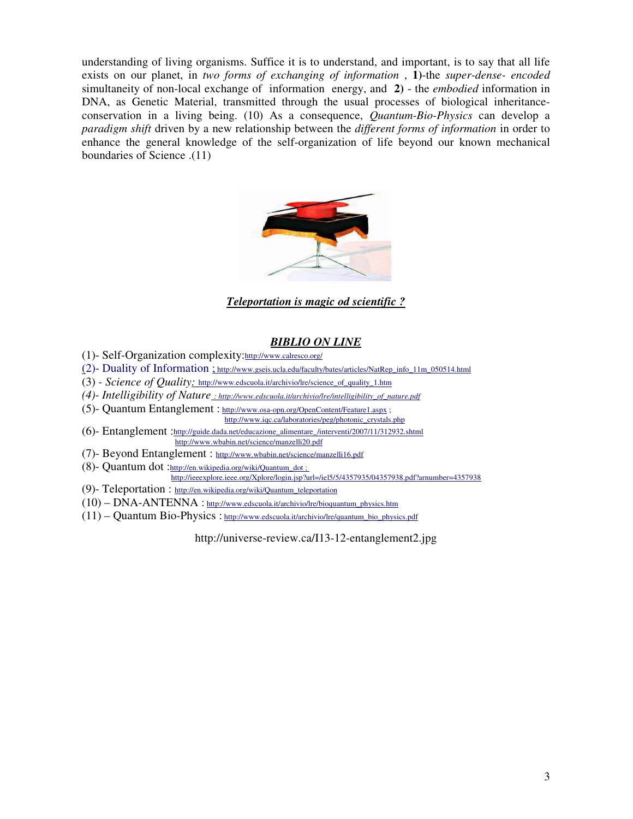understanding of living organisms. Suffice it is to understand, and important, is to say that all life exists on our planet, in *two forms of exchanging of information* , **1)**-the *super-dense- encoded* simultaneity of non-local exchange of information energy, and **2)** - the *embodied* information in DNA, as Genetic Material, transmitted through the usual processes of biological inheritanceconservation in a living being. (10) As a consequence, *Quantum-Bio-Physics* can develop a *paradigm shift* driven by a new relationship between the *different forms of information* in order to enhance the general knowledge of the self-organization of life beyond our known mechanical boundaries of Science .(11)



## *Teleportation is magic od scientific ?*

## *BIBLIO ON LINE*

- (1)- Self-Organization complexity:http://www.calresco.org/
- (2)- Duality of Information ; http://www.gseis.ucla.edu/faculty/bates/articles/NatRep\_info\_11m\_050514.html
- (3)  *Science of Quality:* http://www.edscuola.it/archivio/lre/science\_of\_quality\_1.htm
- *(4)- Intelligibility of Nature : http://www.edscuola.it/archivio/lre/intelligibility\_of\_nature.pdf*
- (5)- Quantum Entanglement : http://www.osa-opn.org/OpenContent/Feature1.aspx ; http://www.iqc.ca/laboratories/peg/photonic\_crystals.php
- (6)- Entanglement :http://guide.dada.net/educazione\_alimentare\_/interventi/2007/11/312932.shtml http://www.wbabin.net/science/manzelli20.pdf
- (7)- Beyond Entanglement : http://www.wbabin.net/science/manzelli16.pdf
- (8)- Quantum dot :http://en.wikipedia.org/wiki/Quantum\_dot ;
- http://ieeexplore.ieee.org/Xplore/login.jsp?url=/iel5/5/4357935/04357938.pdf?arnumber=4357938
- (9)- Teleportation : http://en.wikipedia.org/wiki/Quantum\_teleportation
- $(10) \text{DNA-ANTENNA}: \underleftarrow{\text{http://www.edscuola.it/archivi/Ire/bioquantum\_physics.htm}}$
- (11) Quantum Bio-Physics : http://www.edscuola.it/archivio/lre/quantum\_bio\_physics.pdf

http://universe-review.ca/I13-12-entanglement2.jpg